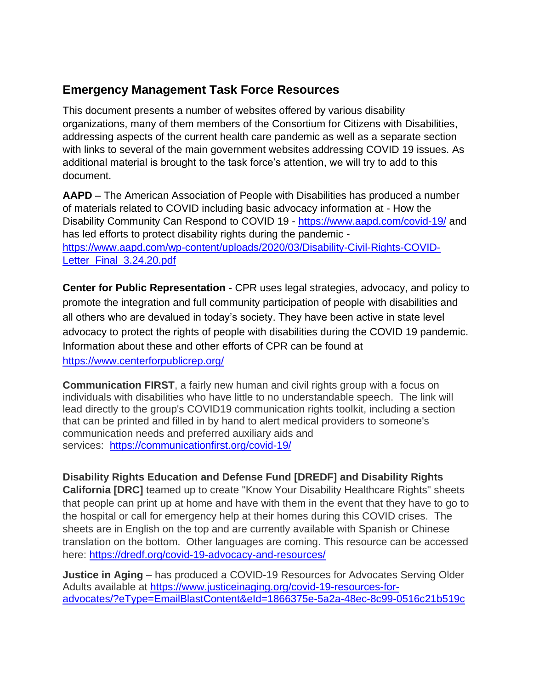# **Emergency Management Task Force Resources**

This document presents a number of websites offered by various disability organizations, many of them members of the Consortium for Citizens with Disabilities, addressing aspects of the current health care pandemic as well as a separate section with links to several of the main government websites addressing COVID 19 issues. As additional material is brought to the task force's attention, we will try to add to this document.

**AAPD** – The American Association of People with Disabilities has produced a number of materials related to COVID including basic advocacy information at - How the Disability Community Can Respond to COVID 19 - <https://www.aapd.com/covid-19/> and has led efforts to protect disability rights during the pandemic [https://www.aapd.com/wp-content/uploads/2020/03/Disability-Civil-Rights-COVID-](https://www.aapd.com/wp-content/uploads/2020/03/Disability-Civil-Rights-COVID-Letter_Final_3.24.20.pdf)Letter Final 3.24.20.pdf

**Center for Public Representation** - CPR uses legal strategies, advocacy, and policy to promote the integration and full community participation of people with disabilities and all others who are devalued in today's society. They have been active in state level advocacy to protect the rights of people with disabilities during the COVID 19 pandemic. Information about these and other efforts of CPR can be found at <https://www.centerforpublicrep.org/>

**Communication FIRST**, a fairly new human and civil rights group with a focus on individuals with disabilities who have little to no understandable speech. The link will lead directly to the group's COVID19 communication rights toolkit, including a section that can be printed and filled in by hand to alert medical providers to someone's communication needs and preferred auxiliary aids and services: <https://communicationfirst.org/covid-19/>

**Disability Rights Education and Defense Fund [DREDF] and Disability Rights California [DRC]** teamed up to create "Know Your Disability Healthcare Rights" sheets that people can print up at home and have with them in the event that they have to go to the hospital or call for emergency help at their homes during this COVID crises. The sheets are in English on the top and are currently available with Spanish or Chinese translation on the bottom. Other languages are coming. This resource can be accessed here: <https://dredf.org/covid-19-advocacy-and-resources/>

**Justice in Aging** – has produced a COVID-19 Resources for Advocates Serving Older Adults available at [https://www.justiceinaging.org/covid-19-resources-for](https://www.justiceinaging.org/covid-19-resources-for-advocates/?eType=EmailBlastContent&eId=1866375e-5a2a-48ec-8c99-0516c21b519c)[advocates/?eType=EmailBlastContent&eId=1866375e-5a2a-48ec-8c99-0516c21b519c](https://www.justiceinaging.org/covid-19-resources-for-advocates/?eType=EmailBlastContent&eId=1866375e-5a2a-48ec-8c99-0516c21b519c)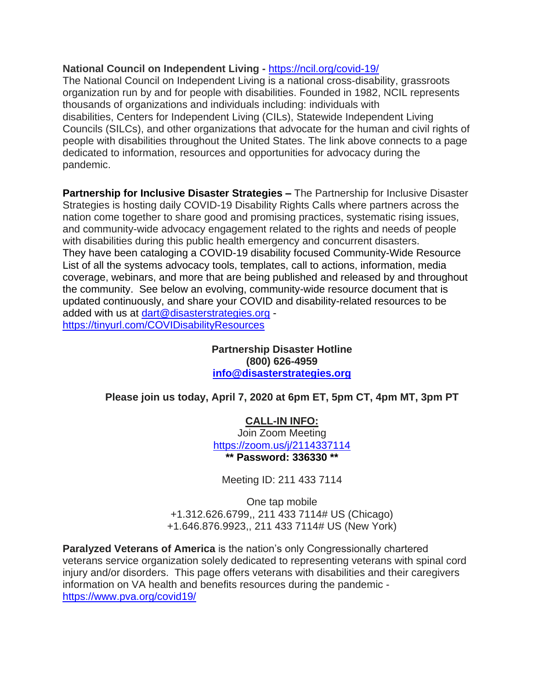#### **National Council on Independent Living -** <https://ncil.org/covid-19/>

The National Council on Independent Living is a national cross-disability, grassroots organization run by and for people with disabilities. Founded in 1982, NCIL represents thousands of organizations and individuals including: individuals with disabilities, Centers for Independent Living (CILs), Statewide Independent Living Councils (SILCs), and other organizations that advocate for the human and civil rights of people with disabilities throughout the United States. The link above connects to a page dedicated to information, resources and opportunities for advocacy during the pandemic.

**Partnership for Inclusive Disaster Strategies –** The Partnership for Inclusive Disaster Strategies is hosting daily COVID-19 Disability Rights Calls where partners across the nation come together to share good and promising practices, systematic rising issues, and community-wide advocacy engagement related to the rights and needs of people with disabilities during this public health emergency and concurrent disasters. They have been cataloging a COVID-19 disability focused Community-Wide Resource List of all the systems advocacy tools, templates, call to actions, information, media coverage, webinars, and more that are being published and released by and throughout the community. See below an evolving, community-wide resource document that is updated continuously, and share your COVID and disability-related resources to be added with us at [dart@disasterstrategies.org](mailto:dart@disasterstrategies.org) <https://tinyurl.com/COVIDisabilityResources>

> **Partnership Disaster Hotline (800) 626-4959 [info@disasterstrategies.org](mailto:info@disasterstrategies.org)**

**Please join us today, April 7, 2020 at 6pm ET, 5pm CT, 4pm MT, 3pm PT**

**CALL-IN INFO:** Join Zoom Meeting <https://zoom.us/j/2114337114> **\*\* Password: 336330 \*\***

Meeting ID: 211 433 7114

One tap mobile +1.312.626.6799,, 211 433 7114# US (Chicago) +1.646.876.9923,, 211 433 7114# US (New York)

**Paralyzed Veterans of America** is the nation's only Congressionally chartered veterans service organization solely dedicated to representing veterans with spinal cord injury and/or disorders. This page offers veterans with disabilities and their caregivers information on VA health and benefits resources during the pandemic <https://www.pva.org/covid19/>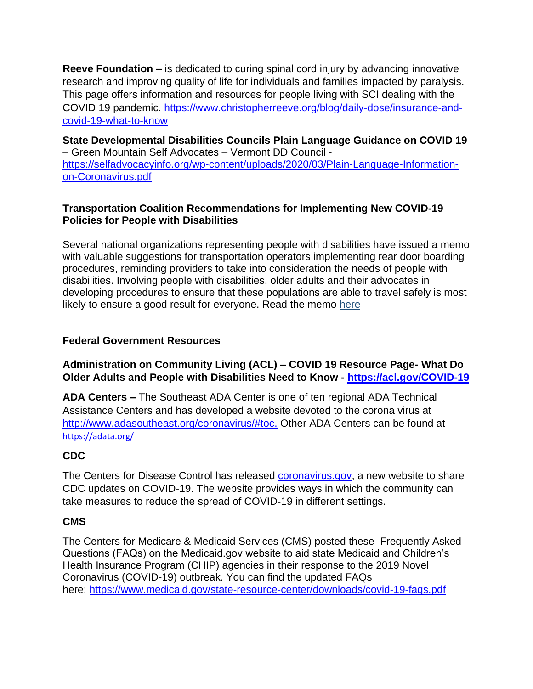**Reeve Foundation –** is dedicated to curing spinal cord injury by advancing innovative research and improving quality of life for individuals and families impacted by paralysis. This page offers information and resources for people living with SCI dealing with the COVID 19 pandemic. [https://www.christopherreeve.org/blog/daily-dose/insurance-and](https://www.christopherreeve.org/blog/daily-dose/insurance-and-covid-19-what-to-know)[covid-19-what-to-know](https://www.christopherreeve.org/blog/daily-dose/insurance-and-covid-19-what-to-know)

**State Developmental Disabilities Councils Plain Language Guidance on COVID 19** – Green Mountain Self Advocates – Vermont DD Council [https://selfadvocacyinfo.org/wp-content/uploads/2020/03/Plain-Language-Information](https://selfadvocacyinfo.org/wp-content/uploads/2020/03/Plain-Language-Information-on-Coronavirus.pdf)[on-Coronavirus.pdf](https://selfadvocacyinfo.org/wp-content/uploads/2020/03/Plain-Language-Information-on-Coronavirus.pdf)

#### **Transportation Coalition Recommendations for Implementing New COVID-19 Policies for People with Disabilities**

Several national organizations representing people with disabilities have issued a memo with valuable suggestions for transportation operators implementing rear door boarding procedures, reminding providers to take into consideration the needs of people with disabilities. Involving people with disabilities, older adults and their advocates in developing procedures to ensure that these populations are able to travel safely is most likely to ensure a good result for everyone. Read the memo [here](http://r20.rs6.net/tn.jsp?f=0011mEEBERq-d3aGI1T4hXVfhtM_QgVMSEWE3le02Kb9fSI2-ZdIsPz89cX5o0NQBgNxxY7IXHdqvkt95zuFdMEGits6qlm9i7WuSuivK9mxPnziw4GA7rRNyqy_cYRvA0xwIatNd3ekFQv6aSn-rq5rPNeVCpI4UTDXcJwMv7wuWGwYQ3QOBeJ23_W7SMHHMK97mhgGEyHsMMwi0cjk7XeEqA_xZVrHHUx3JzAbkjt_SFzM3_zwy_c-f9UvKMBn349&c=NF7og0sTzI9mWizPvJE0fKmIa_Ewv9ma6OxnapuCz-wAmai_iQs0qQ==&ch=009lWs_Mspo7nwK7wc9xz9koTBH1nHwxDgjmWGkYpvdkmisEqE9KAg==)

### **Federal Government Resources**

## **Administration on Community Living (ACL) – COVID 19 Resource Page- What Do Older Adults and People with Disabilities Need to Know - <https://acl.gov/COVID-19>**

**ADA Centers –** The Southeast ADA Center is one of ten regional ADA Technical Assistance Centers and has developed a website devoted to the corona virus at [http://www.adasoutheast.org/coronavirus/#toc.](http://www.adasoutheast.org/coronavirus/#toc) Other ADA Centers can be found at <https://adata.org/>

# **CDC**

The Centers for Disease Control has released [coronavirus.gov,](https://click.icptrack.com/icp/relay.php?r=24671683&msgid=516687&act=19AL&c=1185304&destination=https%3A%2F%2Fwww.cdc.gov%2Fcoronavirus%2F2019-ncov%2Findex.html) a new website to share CDC updates on COVID-19. The website provides ways in which the community can take measures to reduce the spread of COVID-19 in different settings.

#### **CMS**

The Centers for Medicare & Medicaid Services (CMS) posted these Frequently Asked Questions (FAQs) on the Medicaid.gov website to aid state Medicaid and Children's Health Insurance Program (CHIP) agencies in their response to the 2019 Novel Coronavirus (COVID-19) outbreak. You can find the updated FAQs here: [https://www.medicaid.gov/state-resource-center/downloads/covid-19-faqs.pdf](https://click.icptrack.com/icp/relay.php?r=64450485&msgid=517100&act=9MIP&c=1185304&destination=https%3A%2F%2Fwww.medicaid.gov%2Fstate-resource-center%2Fdownloads%2Fcovid-19-faqs.pdf)